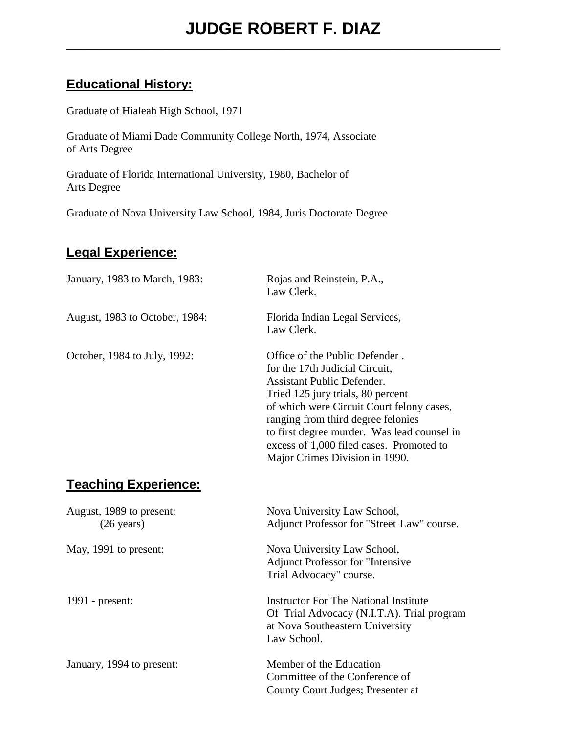## **Educational History:**

Graduate of Hialeah High School, 1971

Graduate of Miami Dade Community College North, 1974, Associate of Arts Degree

Graduate of Florida International University, 1980, Bachelor of Arts Degree

Graduate of Nova University Law School, 1984, Juris Doctorate Degree

## **Legal Experience:**

| January, 1983 to March, 1983:                    | Rojas and Reinstein, P.A.,<br>Law Clerk.                                                                                                                                                                                                                                                                                                                   |  |
|--------------------------------------------------|------------------------------------------------------------------------------------------------------------------------------------------------------------------------------------------------------------------------------------------------------------------------------------------------------------------------------------------------------------|--|
| August, 1983 to October, 1984:                   | Florida Indian Legal Services,<br>Law Clerk.                                                                                                                                                                                                                                                                                                               |  |
| October, 1984 to July, 1992:                     | Office of the Public Defender.<br>for the 17th Judicial Circuit,<br><b>Assistant Public Defender.</b><br>Tried 125 jury trials, 80 percent<br>of which were Circuit Court felony cases,<br>ranging from third degree felonies<br>to first degree murder. Was lead counsel in<br>excess of 1,000 filed cases. Promoted to<br>Major Crimes Division in 1990. |  |
| <b>Teaching Experience:</b>                      |                                                                                                                                                                                                                                                                                                                                                            |  |
| August, 1989 to present:<br>$(26 \text{ years})$ | Nova University Law School,<br>Adjunct Professor for "Street Law" course.                                                                                                                                                                                                                                                                                  |  |
| May, 1991 to present:                            | Nova University Law School,<br><b>Adjunct Professor for "Intensive</b><br>Trial Advocacy" course.                                                                                                                                                                                                                                                          |  |
| 1991 - present:                                  | <b>Instructor For The National Institute</b><br>Of Trial Advocacy (N.I.T.A). Trial program<br>at Nova Southeastern University<br>Law School.                                                                                                                                                                                                               |  |
| January, 1994 to present:                        | Member of the Education<br>Committee of the Conference of<br>County Court Judges; Presenter at                                                                                                                                                                                                                                                             |  |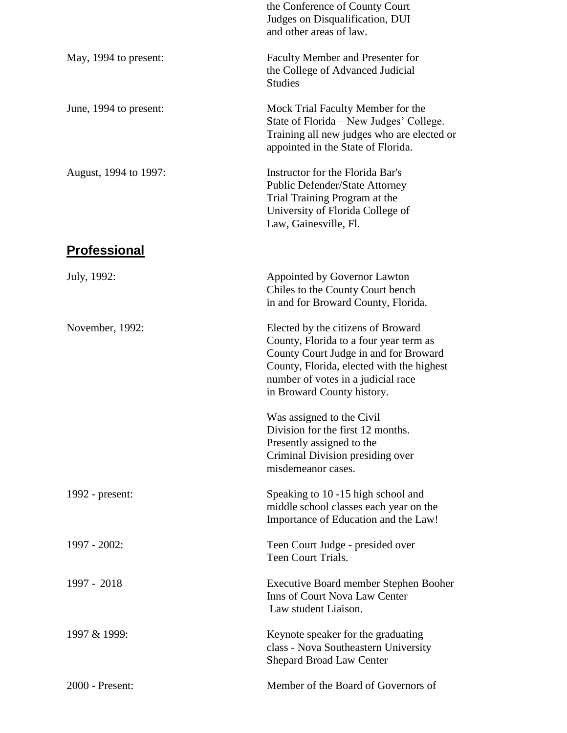|                        | the Conference of County Court<br>Judges on Disqualification, DUI<br>and other areas of law.                                                                                                                                           |  |  |
|------------------------|----------------------------------------------------------------------------------------------------------------------------------------------------------------------------------------------------------------------------------------|--|--|
| May, 1994 to present:  | Faculty Member and Presenter for<br>the College of Advanced Judicial<br><b>Studies</b>                                                                                                                                                 |  |  |
| June, 1994 to present: | Mock Trial Faculty Member for the<br>State of Florida - New Judges' College.<br>Training all new judges who are elected or<br>appointed in the State of Florida.                                                                       |  |  |
| August, 1994 to 1997:  | Instructor for the Florida Bar's<br><b>Public Defender/State Attorney</b><br>Trial Training Program at the<br>University of Florida College of<br>Law, Gainesville, Fl.                                                                |  |  |
| <b>Professional</b>    |                                                                                                                                                                                                                                        |  |  |
| July, 1992:            | Appointed by Governor Lawton<br>Chiles to the County Court bench<br>in and for Broward County, Florida.                                                                                                                                |  |  |
| November, 1992:        | Elected by the citizens of Broward<br>County, Florida to a four year term as<br>County Court Judge in and for Broward<br>County, Florida, elected with the highest<br>number of votes in a judicial race<br>in Broward County history. |  |  |
|                        | Was assigned to the Civil<br>Division for the first 12 months.<br>Presently assigned to the<br>Criminal Division presiding over<br>misdemeanor cases.                                                                                  |  |  |
| 1992 - present:        | Speaking to 10 -15 high school and<br>middle school classes each year on the<br>Importance of Education and the Law!                                                                                                                   |  |  |
| 1997 - 2002:           | Teen Court Judge - presided over<br>Teen Court Trials.                                                                                                                                                                                 |  |  |
| 1997 - 2018            | <b>Executive Board member Stephen Booher</b><br><b>Inns of Court Nova Law Center</b><br>Law student Liaison.                                                                                                                           |  |  |
| 1997 & 1999:           | Keynote speaker for the graduating<br>class - Nova Southeastern University<br>Shepard Broad Law Center                                                                                                                                 |  |  |
| 2000 - Present:        | Member of the Board of Governors of                                                                                                                                                                                                    |  |  |